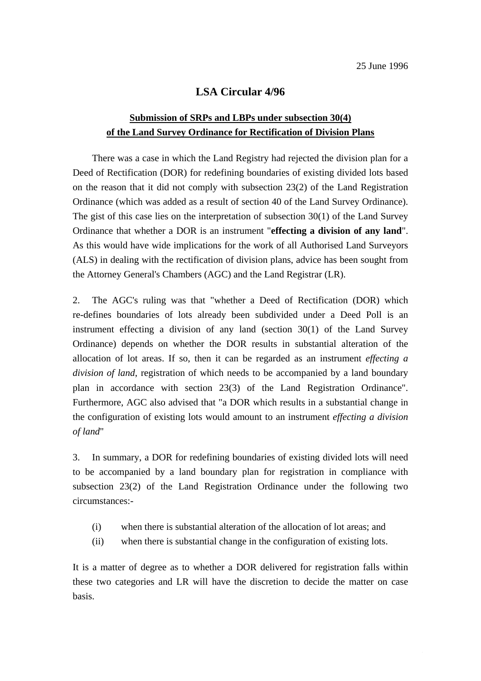## **LSA Circular 4/96**

## **Submission of SRPs and LBPs under subsection 30(4) of the Land Survey Ordinance for Rectification of Division Plans**

There was a case in which the Land Registry had rejected the division plan for a Deed of Rectification (DOR) for redefining boundaries of existing divided lots based on the reason that it did not comply with subsection 23(2) of the Land Registration Ordinance (which was added as a result of section 40 of the Land Survey Ordinance). The gist of this case lies on the interpretation of subsection 30(1) of the Land Survey Ordinance that whether a DOR is an instrument "**effecting a division of any land**". As this would have wide implications for the work of all Authorised Land Surveyors (ALS) in dealing with the rectification of division plans, advice has been sought from the Attorney General's Chambers (AGC) and the Land Registrar (LR).

2. The AGC's ruling was that "whether a Deed of Rectification (DOR) which re-defines boundaries of lots already been subdivided under a Deed Poll is an instrument effecting a division of any land (section 30(1) of the Land Survey Ordinance) depends on whether the DOR results in substantial alteration of the allocation of lot areas. If so, then it can be regarded as an instrument *effecting a division of land*, registration of which needs to be accompanied by a land boundary plan in accordance with section 23(3) of the Land Registration Ordinance". Furthermore, AGC also advised that "a DOR which results in a substantial change in the configuration of existing lots would amount to an instrument *effecting a division of land*"

3. In summary, a DOR for redefining boundaries of existing divided lots will need to be accompanied by a land boundary plan for registration in compliance with subsection 23(2) of the Land Registration Ordinance under the following two circumstances:-

- (i) when there is substantial alteration of the allocation of lot areas; and
- (ii) when there is substantial change in the configuration of existing lots.

It is a matter of degree as to whether a DOR delivered for registration falls within these two categories and LR will have the discretion to decide the matter on case basis.